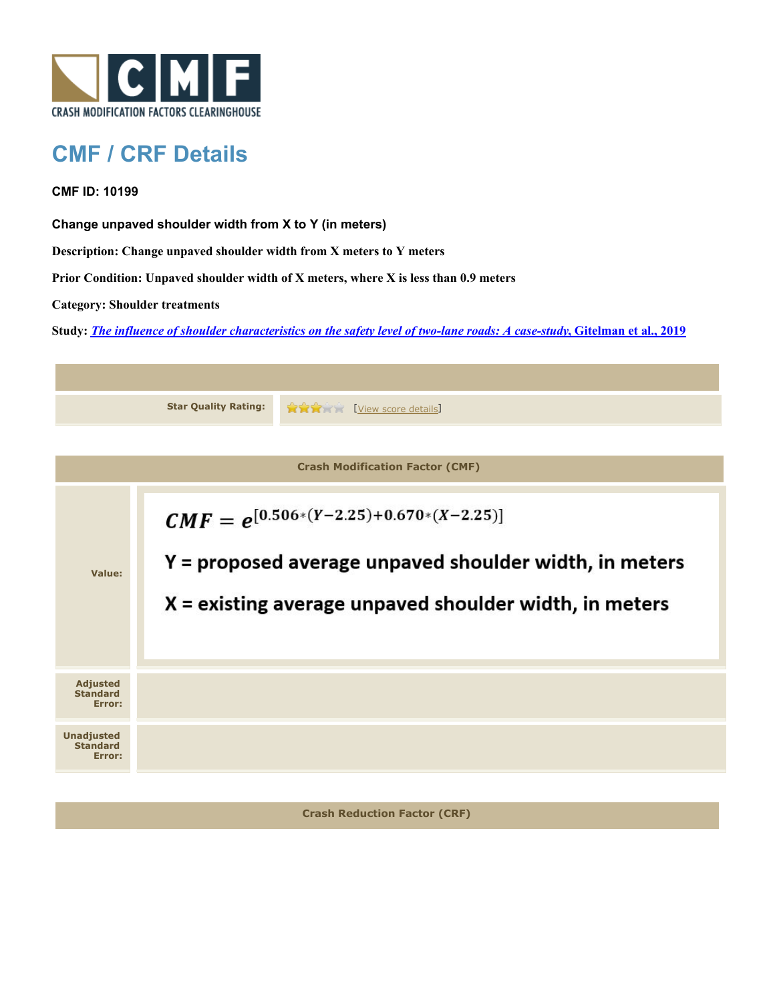

## **CMF / CRF Details**

**CMF ID: 10199**

**Change unpaved shoulder width from X to Y (in meters)**

**Description: Change unpaved shoulder width from X meters to Y meters**

**Prior Condition: Unpaved shoulder width of X meters, where X is less than 0.9 meters**

**Category: Shoulder treatments**

**Study:** *[The influence of shoulder characteristics on the safety level of two-lane roads: A case-study](http://www.cmfclearinghouse.org/study_detail.cfm?stid=584)***[, Gitelman et al., 2019](http://www.cmfclearinghouse.org/study_detail.cfm?stid=584)**



**Crash Reduction Factor (CRF)**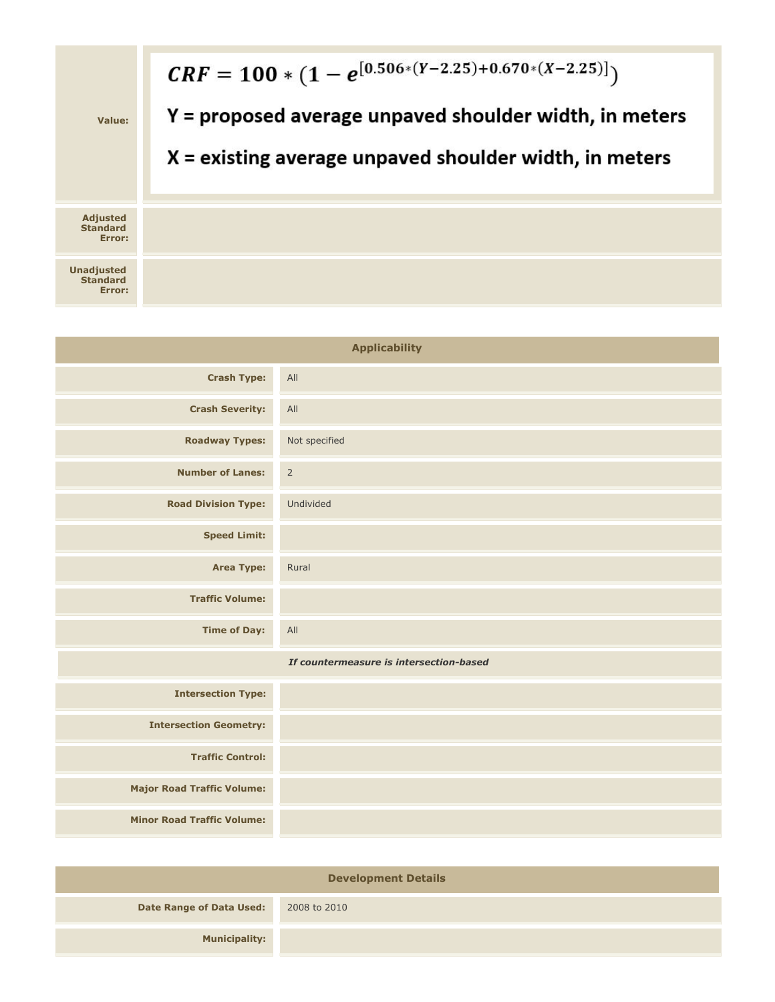

| <b>Applicability</b>                    |               |
|-----------------------------------------|---------------|
| <b>Crash Type:</b>                      | All           |
| <b>Crash Severity:</b>                  | All           |
| <b>Roadway Types:</b>                   | Not specified |
| <b>Number of Lanes:</b>                 | $\mathsf{2}$  |
| <b>Road Division Type:</b>              | Undivided     |
| <b>Speed Limit:</b>                     |               |
| <b>Area Type:</b>                       | Rural         |
| <b>Traffic Volume:</b>                  |               |
| <b>Time of Day:</b>                     | All           |
| If countermeasure is intersection-based |               |
| <b>Intersection Type:</b>               |               |
| <b>Intersection Geometry:</b>           |               |
| <b>Traffic Control:</b>                 |               |
| <b>Major Road Traffic Volume:</b>       |               |
| <b>Minor Road Traffic Volume:</b>       |               |

| <b>Development Details</b>      |              |  |
|---------------------------------|--------------|--|
| <b>Date Range of Data Used:</b> | 2008 to 2010 |  |
| <b>Municipality:</b>            |              |  |